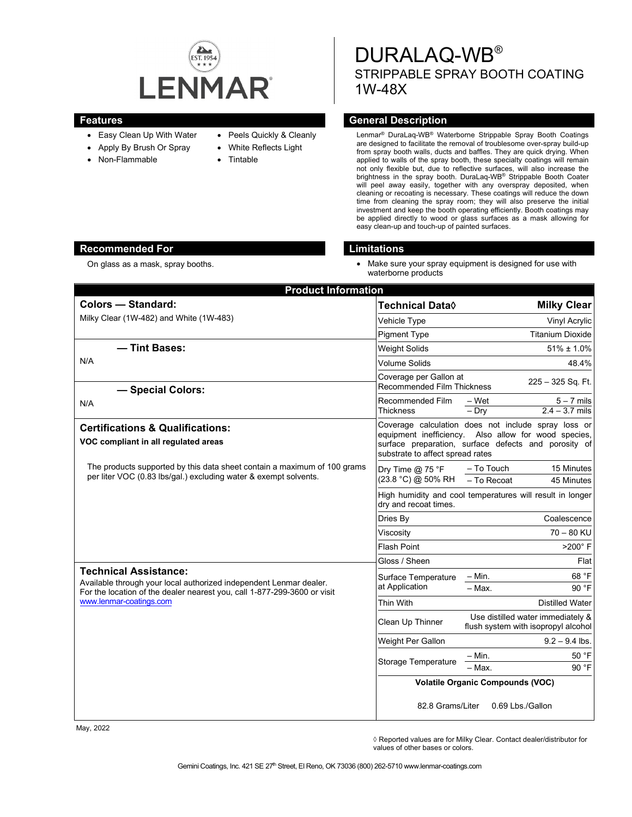

- Easy Clean Up With Water
- Apply By Brush Or Spray
- Non-Flammable
- Peels Quickly & Cleanly
- White Reflects Light
- **Tintable**

DURALAQ-WB® STRIPPABLE SPRAY BOOTH COATING 1W-48X

# **Features General Description**

Lenmar® DuraLaq-WB® Waterborne Strippable Spray Booth Coatings are designed to facilitate the removal of troublesome over-spray build-up from spray booth walls, ducts and baffles. They are quick drying. When applied to walls of the spray booth, these specialty coatings will remain not only flexible but, due to reflective surfaces, will also increase the brightness in the spray booth. DuraLaq-WB® Strippable Booth Coater will peel away easily, together with any overspray deposited, when cleaning or recoating is necessary. These coatings will reduce the down time from cleaning the spray room; they will also preserve the initial investment and keep the booth operating efficiently. Booth coatings may be applied directly to wood or glass surfaces as a mask allowing for easy clean-up and touch-up of painted surfaces.

# **Recommended For Limitations**

- 
- On glass as a mask, spray booths. Conserved the state of the Make sure your spray equipment is designed for use with waterborne products

| <b>Product Information</b>                                                                                                                                                                                |                                                             |                                                                                                                                                                     |
|-----------------------------------------------------------------------------------------------------------------------------------------------------------------------------------------------------------|-------------------------------------------------------------|---------------------------------------------------------------------------------------------------------------------------------------------------------------------|
| <b>Colors - Standard:</b>                                                                                                                                                                                 | Technical Data◊                                             | <b>Milky Clear</b>                                                                                                                                                  |
| Milky Clear (1W-482) and White (1W-483)                                                                                                                                                                   | Vehicle Type                                                | Vinyl Acrylic                                                                                                                                                       |
|                                                                                                                                                                                                           | <b>Pigment Type</b>                                         | <b>Titanium Dioxide</b>                                                                                                                                             |
| - Tint Bases:                                                                                                                                                                                             | <b>Weight Solids</b>                                        | $51\% \pm 1.0\%$                                                                                                                                                    |
| N/A                                                                                                                                                                                                       | <b>Volume Solids</b>                                        | 48.4%                                                                                                                                                               |
| - Special Colors:                                                                                                                                                                                         | Coverage per Gallon at<br><b>Recommended Film Thickness</b> | 225 - 325 Sq. Ft.                                                                                                                                                   |
| N/A                                                                                                                                                                                                       | Recommended Film<br><b>Thickness</b>                        | $5 - 7$ mils<br>– Wet<br>$2.4 - 3.7$ mils<br>$-$ Drv                                                                                                                |
| <b>Certifications &amp; Qualifications:</b><br>VOC compliant in all regulated areas                                                                                                                       | substrate to affect spread rates                            | Coverage calculation does not include spray loss or<br>equipment inefficiency. Also allow for wood species,<br>surface preparation, surface defects and porosity of |
| The products supported by this data sheet contain a maximum of 100 grams<br>per liter VOC (0.83 lbs/gal.) excluding water & exempt solvents.                                                              | Dry Time @ 75 °F<br>(23.8 °C) @ 50% RH                      | – To Touch<br>15 Minutes<br>- To Recoat<br>45 Minutes                                                                                                               |
|                                                                                                                                                                                                           | dry and recoat times.                                       | High humidity and cool temperatures will result in longer                                                                                                           |
|                                                                                                                                                                                                           | Dries By                                                    | Coalescence                                                                                                                                                         |
|                                                                                                                                                                                                           | Viscositv                                                   | $70 - 80$ KU                                                                                                                                                        |
|                                                                                                                                                                                                           | <b>Flash Point</b>                                          | $>200^\circ$ F                                                                                                                                                      |
|                                                                                                                                                                                                           | Gloss / Sheen                                               | Flat                                                                                                                                                                |
| <b>Technical Assistance:</b><br>Available through your local authorized independent Lenmar dealer.<br>For the location of the dealer nearest you, call 1-877-299-3600 or visit<br>www.lenmar-coatings.com | Surface Temperature<br>at Application                       | 68 °F<br>$-$ Min.<br>90 °F<br>- Max.                                                                                                                                |
|                                                                                                                                                                                                           | Thin With                                                   | <b>Distilled Water</b>                                                                                                                                              |
|                                                                                                                                                                                                           | Clean Up Thinner                                            | Use distilled water immediately &<br>flush system with isopropyl alcohol                                                                                            |
|                                                                                                                                                                                                           | Weight Per Gallon                                           | $9.2 - 9.4$ lbs.                                                                                                                                                    |
|                                                                                                                                                                                                           | <b>Storage Temperature</b>                                  | 50 °F<br>– Min.                                                                                                                                                     |
|                                                                                                                                                                                                           |                                                             | 90 °F<br>- Max.                                                                                                                                                     |
|                                                                                                                                                                                                           | <b>Volatile Organic Compounds (VOC)</b>                     |                                                                                                                                                                     |
|                                                                                                                                                                                                           | 82.8 Grams/Liter                                            | 0.69 Lbs./Gallon                                                                                                                                                    |

May, 2022

◊ Reported values are for Milky Clear. Contact dealer/distributor for values of other bases or colors.